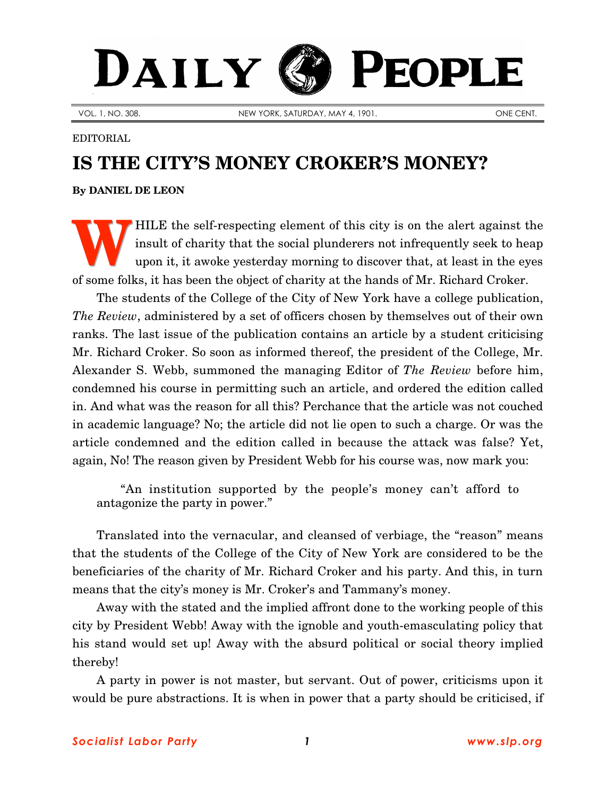## DAILY PEOPLE

VOL. 1, NO. 308. NEW YORK, SATURDAY, MAY 4, 1901. New York Saturday, MAY 4, 1901.

## EDITORIAL

## **IS THE CITY'S MONEY CROKER'S MONEY?**

**By [DANIEL DE LEON](http://www.slp.org/De_Leon.htm)**

HILE the self-respecting element of this city is on the alert against the insult of charity that the social plunderers not infrequently seek to heap upon it, it awoke yesterday morning to discover that, at least in the eyes of some folks, it has been the object of charity at the hands of Mr. Richard Croker. **W**

The students of the College of the City of New York have a college publication, *The Review*, administered by a set of officers chosen by themselves out of their own ranks. The last issue of the publication contains an article by a student criticising Mr. Richard Croker. So soon as informed thereof, the president of the College, Mr. Alexander S. Webb, summoned the managing Editor of *The Review* before him, condemned his course in permitting such an article, and ordered the edition called in. And what was the reason for all this? Perchance that the article was not couched in academic language? No; the article did not lie open to such a charge. Or was the article condemned and the edition called in because the attack was false? Yet, again, No! The reason given by President Webb for his course was, now mark you:

"An institution supported by the people's money can't afford to antagonize the party in power."

Translated into the vernacular, and cleansed of verbiage, the "reason" means that the students of the College of the City of New York are considered to be the beneficiaries of the charity of Mr. Richard Croker and his party. And this, in turn means that the city's money is Mr. Croker's and Tammany's money.

Away with the stated and the implied affront done to the working people of this city by President Webb! Away with the ignoble and youth-emasculating policy that his stand would set up! Away with the absurd political or social theory implied thereby!

A party in power is not master, but servant. Out of power, criticisms upon it would be pure abstractions. It is when in power that a party should be criticised, if